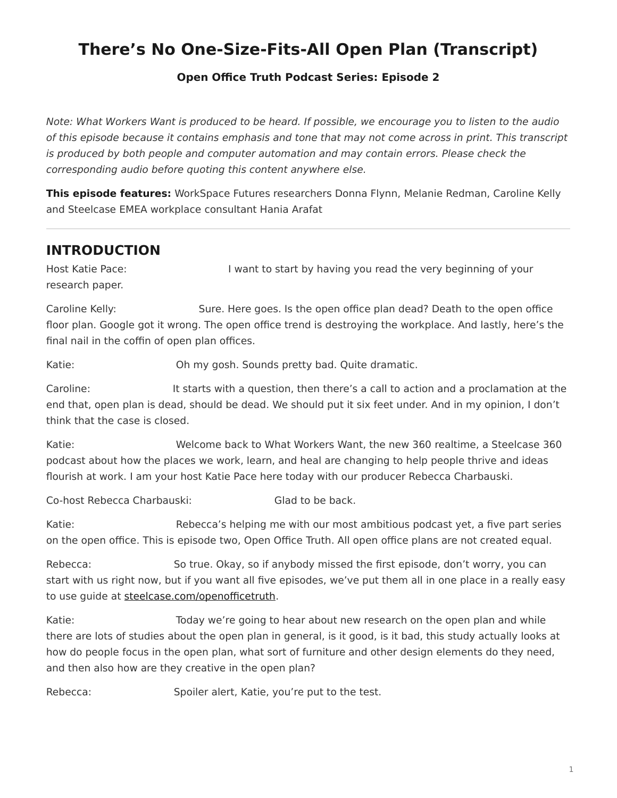# <span id="page-0-0"></span>**There's No One-Size-Fits-All Open Plan (Transcript)**

#### **[Open Office Truth Podcast Series:](https://www.steelcase.com/research/openofficetruth) Episode 2**

*Note: What Workers Want is produced to be heard. If possible, we encourage you to listen to the audio of this episode because it contains emphasis and tone that may not come across in print. This transcript is produced by both people and computer automation and may contain errors. Please check the corresponding audio before quoting this content anywhere else.*

**This episode features:** WorkSpace Futures researchers Donna Flynn, Melanie Redman, Caroline Kelly and Steelcase EMEA workplace consultant Hania Arafat

#### **INTRODUCTION**

Host Katie Pace: I want to start by having you read the very beginning of your research paper.

Caroline Kelly: Sure. Here goes. Is the open office plan dead? Death to the open office floor plan. Google got it wrong. The open office trend is destroying the workplace. And lastly, here's the final nail in the coffin of open plan offices.

Katie: Oh my gosh. Sounds pretty bad. Quite dramatic.

Caroline: It starts with a question, then there's a call to action and a proclamation at the end that, open plan is dead, should be dead. We should put it six feet under. And in my opinion, I don't think that the case is closed.

Katie: Welcome back to What Workers Want, the new 360 realtime, a Steelcase 360 podcast about how the places we work, learn, and heal are changing to help people thrive and ideas flourish at work. I am your host Katie Pace here today with our producer Rebecca Charbauski.

Co-host Rebecca Charbauski: Glad to be back.

Katie: Rebecca's helping me with our most ambitious podcast yet, a five part series on the open office. This is episode two, Open Office Truth. All open office plans are not created equal.

Rebecca: So true. Okay, so if anybody missed the first episode, don't worry, you can start with us right now, but if you want all five episodes, we've put them all in one place in a really easy to use guide at [steelcase.com/openofficetruth.](http://www.steelcase.com/openofficetruth)

Katie: Today we're going to hear about new research on the open plan and while there are lots of studies about the open plan in general, is it good, is it bad, this study actually looks at how do people focus in the open plan, what sort of furniture and other design elements do they need, and then also how are they creative in the open plan?

Rebecca: Spoiler alert, Katie, you're put to the test.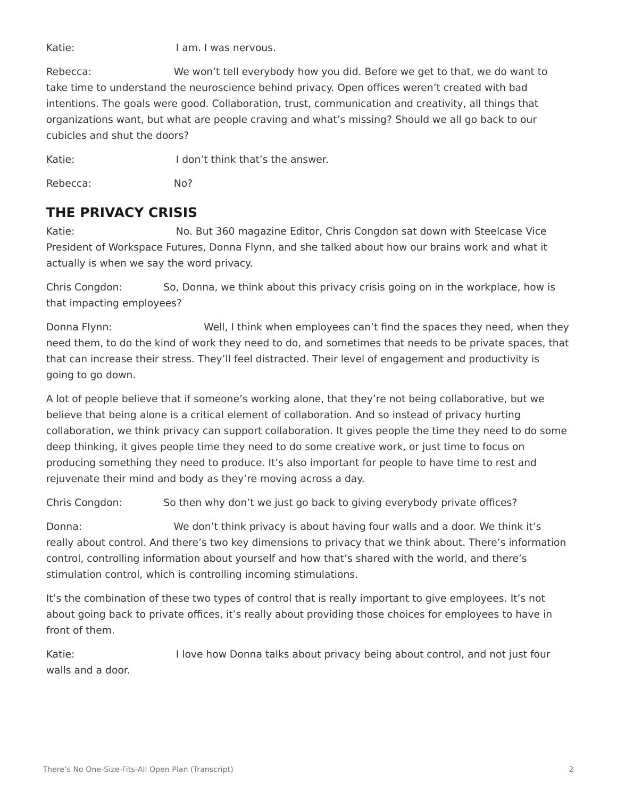Katie: I am. I was nervous.

Rebecca: We won't tell everybody how you did. Before we get to that, we do want to take time to understand the neuroscience behind privacy. Open offices weren't created with bad intentions. The goals were good. Collaboration, trust, communication and creativity, all things that organizations want, but what are people craving and what's missing? Should we all go back to our cubicles and shut the doors?

Katie:  $I$  don't think that's the answer.

Rebecca: No?

### **THE PRIVACY CRISIS**

Katie: No. But 360 magazine Editor, Chris Congdon sat down with Steelcase Vice President of Workspace Futures, Donna Flynn, and she talked about how our brains work and what it actually is when we say the word privacy.

Chris Congdon: So, Donna, we think about this privacy crisis going on in the workplace, how is that impacting employees?

Donna Flynn: Well, I think when employees can't find the spaces they need, when they need them, to do the kind of work they need to do, and sometimes that needs to be private spaces, that that can increase their stress. They'll feel distracted. Their level of engagement and productivity is going to go down.

A lot of people believe that if someone's working alone, that they're not being collaborative, but we believe that being alone is a critical element of collaboration. And so instead of privacy hurting collaboration, we think privacy can support collaboration. It gives people the time they need to do some deep thinking, it gives people time they need to do some creative work, or just time to focus on producing something they need to produce. It's also important for people to have time to rest and rejuvenate their mind and body as they're moving across a day.

Chris Congdon: So then why don't we just go back to giving everybody private offices?

Donna: We don't think privacy is about having four walls and a door. We think it's really about control. And there's two key dimensions to privacy that we think about. There's information control, controlling information about yourself and how that's shared with the world, and there's stimulation control, which is controlling incoming stimulations.

It's the combination of these two types of control that is really important to give employees. It's not about going back to private offices, it's really about providing those choices for employees to have in front of them.

Katie: I love how Donna talks about privacy being about control, and not just four walls and a door.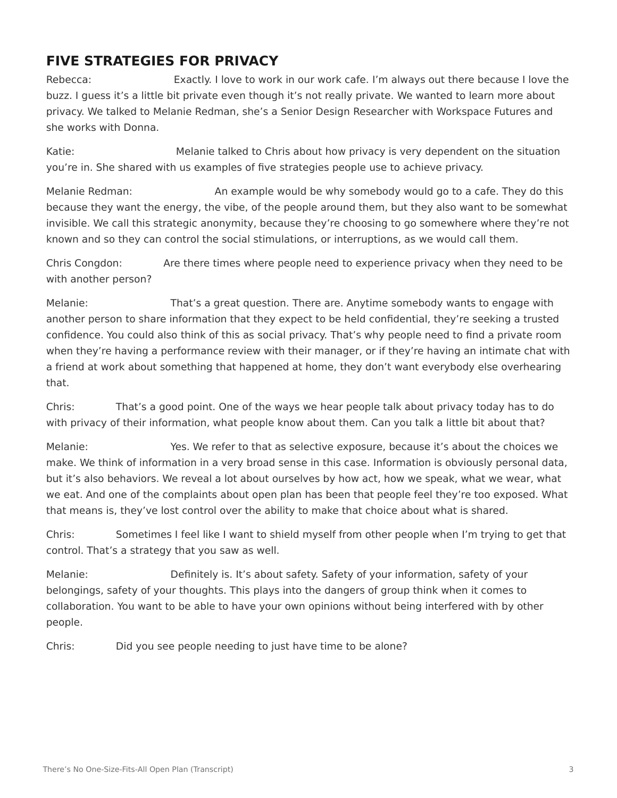#### **FIVE STRATEGIES FOR PRIVACY**

Rebecca: Exactly. I love to work in our work cafe. I'm always out there because I love the buzz. I guess it's a little bit private even though it's not really private. We wanted to learn more about privacy. We talked to Melanie Redman, she's a Senior Design Researcher with Workspace Futures and she works with Donna.

Katie: Melanie talked to Chris about how privacy is very dependent on the situation you're in. She shared with us examples of five strategies people use to achieve privacy.

Melanie Redman: An example would be why somebody would go to a cafe. They do this because they want the energy, the vibe, of the people around them, but they also want to be somewhat invisible. We call this strategic anonymity, because they're choosing to go somewhere where they're not known and so they can control the social stimulations, or interruptions, as we would call them.

Chris Congdon: Are there times where people need to experience privacy when they need to be with another person?

Melanie: That's a great question. There are. Anytime somebody wants to engage with another person to share information that they expect to be held confidential, they're seeking a trusted confidence. You could also think of this as social privacy. That's why people need to find a private room when they're having a performance review with their manager, or if they're having an intimate chat with a friend at work about something that happened at home, they don't want everybody else overhearing that.

Chris: That's a good point. One of the ways we hear people talk about privacy today has to do with privacy of their information, what people know about them. Can you talk a little bit about that?

Melanie: Yes. We refer to that as selective exposure, because it's about the choices we make. We think of information in a very broad sense in this case. Information is obviously personal data, but it's also behaviors. We reveal a lot about ourselves by how act, how we speak, what we wear, what we eat. And one of the complaints about open plan has been that people feel they're too exposed. What that means is, they've lost control over the ability to make that choice about what is shared.

Chris: Sometimes I feel like I want to shield myself from other people when I'm trying to get that control. That's a strategy that you saw as well.

Melanie: Definitely is. It's about safety. Safety of your information, safety of your belongings, safety of your thoughts. This plays into the dangers of group think when it comes to collaboration. You want to be able to have your own opinions without being interfered with by other people.

Chris: Did you see people needing to just have time to be alone?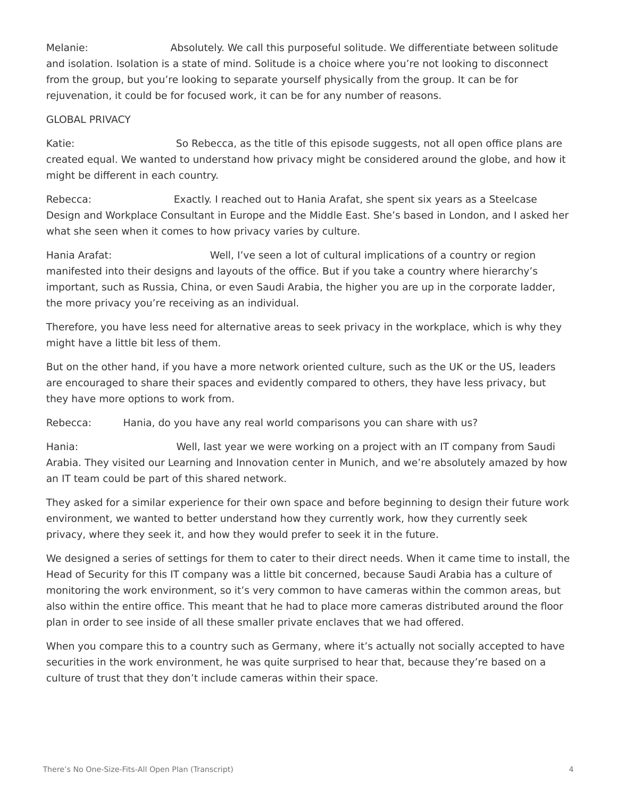Melanie: Absolutely. We call this purposeful solitude. We differentiate between solitude and isolation. Isolation is a state of mind. Solitude is a choice where you're not looking to disconnect from the group, but you're looking to separate yourself physically from the group. It can be for rejuvenation, it could be for focused work, it can be for any number of reasons.

#### GLOBAL PRIVACY

Katie: So Rebecca, as the title of this episode suggests, not all open office plans are created equal. We wanted to understand how privacy might be considered around the globe, and how it might be different in each country.

Rebecca: Exactly. I reached out to Hania Arafat, she spent six years as a Steelcase Design and Workplace Consultant in Europe and the Middle East. She's based in London, and I asked her what she seen when it comes to how privacy varies by culture.

Hania Arafat: Well, I've seen a lot of cultural implications of a country or region manifested into their designs and layouts of the office. But if you take a country where hierarchy's important, such as Russia, China, or even Saudi Arabia, the higher you are up in the corporate ladder, the more privacy you're receiving as an individual.

Therefore, you have less need for alternative areas to seek privacy in the workplace, which is why they might have a little bit less of them.

But on the other hand, if you have a more network oriented culture, such as the UK or the US, leaders are encouraged to share their spaces and evidently compared to others, they have less privacy, but they have more options to work from.

Rebecca: Hania, do you have any real world comparisons you can share with us?

Hania: Well, last year we were working on a project with an IT company from Saudi Arabia. They visited our Learning and Innovation center in Munich, and we're absolutely amazed by how an IT team could be part of this shared network.

They asked for a similar experience for their own space and before beginning to design their future work environment, we wanted to better understand how they currently work, how they currently seek privacy, where they seek it, and how they would prefer to seek it in the future.

We designed a series of settings for them to cater to their direct needs. When it came time to install, the Head of Security for this IT company was a little bit concerned, because Saudi Arabia has a culture of monitoring the work environment, so it's very common to have cameras within the common areas, but also within the entire office. This meant that he had to place more cameras distributed around the floor plan in order to see inside of all these smaller private enclaves that we had offered.

When you compare this to a country such as Germany, where it's actually not socially accepted to have securities in the work environment, he was quite surprised to hear that, because they're based on a culture of trust that they don't include cameras within their space.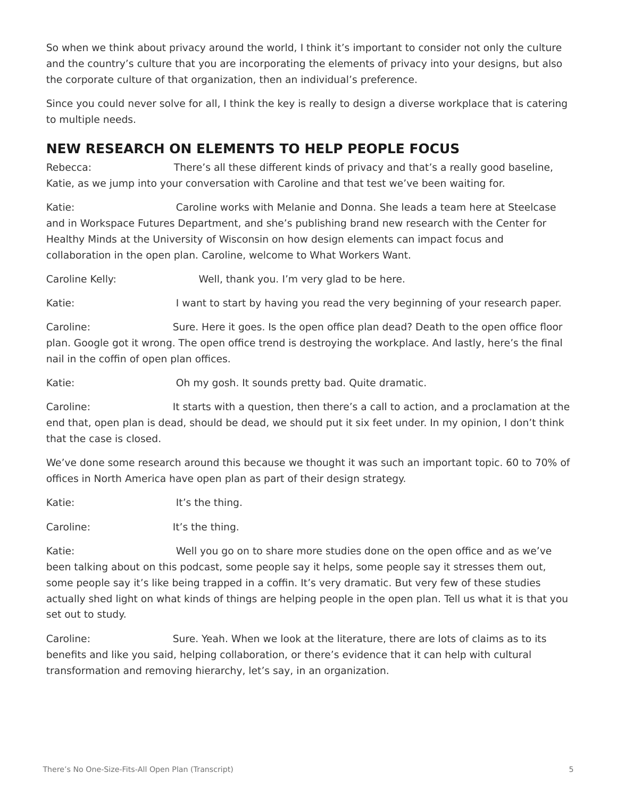So when we think about privacy around the world, I think it's important to consider not only the culture and the country's culture that you are incorporating the elements of privacy into your designs, but also the corporate culture of that organization, then an individual's preference.

Since you could never solve for all, I think the key is really to design a diverse workplace that is catering to multiple needs.

## **NEW RESEARCH ON ELEMENTS TO HELP PEOPLE FOCUS**

Rebecca: There's all these different kinds of privacy and that's a really good baseline, Katie, as we jump into your conversation with Caroline and that test we've been waiting for.

Katie: Caroline works with Melanie and Donna. She leads a team here at Steelcase and in Workspace Futures Department, and she's publishing brand new research with the Center for Healthy Minds at the University of Wisconsin on how design elements can impact focus and collaboration in the open plan. Caroline, welcome to What Workers Want.

Caroline Kelly: Well, thank you. I'm very glad to be here.

Katie: I want to start by having you read the very beginning of your research paper.

Caroline: Sure. Here it goes. Is the open office plan dead? Death to the open office floor plan. Google got it wrong. The open office trend is destroying the workplace. And lastly, here's the final nail in the coffin of open plan offices.

Katie: **Shareh Elder State:** Oh my gosh. It sounds pretty bad. Quite dramatic.

Caroline: It starts with a question, then there's a call to action, and a proclamation at the end that, open plan is dead, should be dead, we should put it six feet under. In my opinion, I don't think that the case is closed.

We've done some research around this because we thought it was such an important topic. 60 to 70% of offices in North America have open plan as part of their design strategy.

Katie: It's the thing.

Caroline: It's the thing.

Katie: Well you go on to share more studies done on the open office and as we've been talking about on this podcast, some people say it helps, some people say it stresses them out, some people say it's like being trapped in a coffin. It's very dramatic. But very few of these studies actually shed light on what kinds of things are helping people in the open plan. Tell us what it is that you set out to study.

Caroline: Sure. Yeah. When we look at the literature, there are lots of claims as to its benefits and like you said, helping collaboration, or there's evidence that it can help with cultural transformation and removing hierarchy, let's say, in an organization.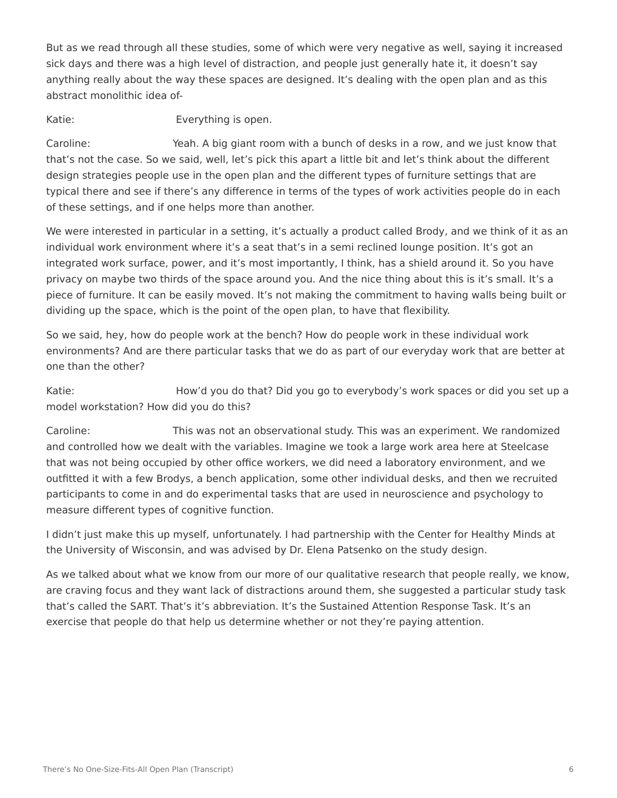But as we read through all these studies, some of which were very negative as well, saying it increased sick days and there was a high level of distraction, and people just generally hate it, it doesn't say anything really about the way these spaces are designed. It's dealing with the open plan and as this abstract monolithic idea of-

Katie: Everything is open.

Caroline: Yeah. A big giant room with a bunch of desks in a row, and we just know that that's not the case. So we said, well, let's pick this apart a little bit and let's think about the different design strategies people use in the open plan and the different types of furniture settings that are typical there and see if there's any difference in terms of the types of work activities people do in each of these settings, and if one helps more than another.

We were interested in particular in a setting, it's actually a product called Brody, and we think of it as an individual work environment where it's a seat that's in a semi reclined lounge position. It's got an integrated work surface, power, and it's most importantly, I think, has a shield around it. So you have privacy on maybe two thirds of the space around you. And the nice thing about this is it's small. It's a piece of furniture. It can be easily moved. It's not making the commitment to having walls being built or dividing up the space, which is the point of the open plan, to have that flexibility.

So we said, hey, how do people work at the bench? How do people work in these individual work environments? And are there particular tasks that we do as part of our everyday work that are better at one than the other?

Katie: **How'd you do that?** Did you go to everybody's work spaces or did you set up a model workstation? How did you do this?

Caroline: This was not an observational study. This was an experiment. We randomized and controlled how we dealt with the variables. Imagine we took a large work area here at Steelcase that was not being occupied by other office workers, we did need a laboratory environment, and we outfitted it with a few Brodys, a bench application, some other individual desks, and then we recruited participants to come in and do experimental tasks that are used in neuroscience and psychology to measure different types of cognitive function.

I didn't just make this up myself, unfortunately. I had partnership with the Center for Healthy Minds at the University of Wisconsin, and was advised by Dr. Elena Patsenko on the study design.

As we talked about what we know from our more of our qualitative research that people really, we know, are craving focus and they want lack of distractions around them, she suggested a particular study task that's called the SART. That's it's abbreviation. It's the Sustained Attention Response Task. It's an exercise that people do that help us determine whether or not they're paying attention.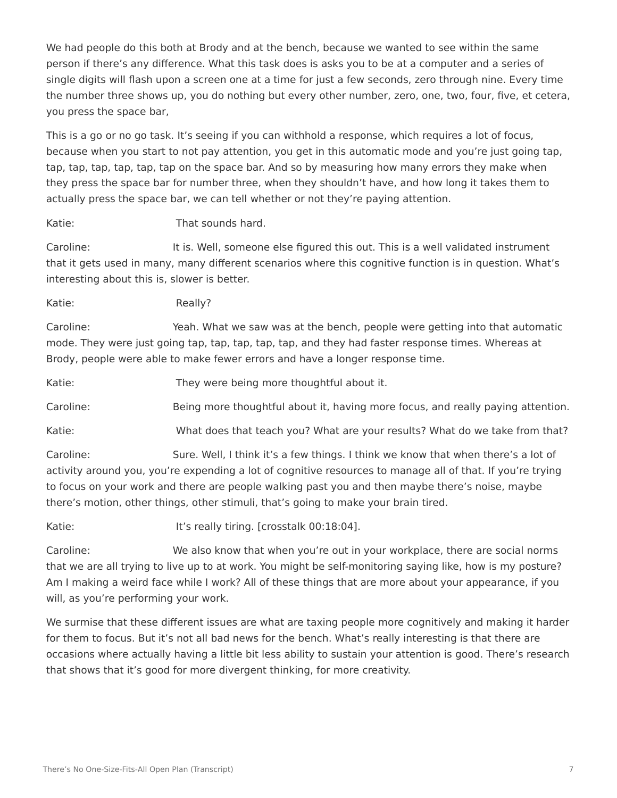We had people do this both at Brody and at the bench, because we wanted to see within the same person if there's any difference. What this task does is asks you to be at a computer and a series of single digits will flash upon a screen one at a time for just a few seconds, zero through nine. Every time the number three shows up, you do nothing but every other number, zero, one, two, four, five, et cetera, you press the space bar,

This is a go or no go task. It's seeing if you can withhold a response, which requires a lot of focus, because when you start to not pay attention, you get in this automatic mode and you're just going tap, tap, tap, tap, tap, tap, tap on the space bar. And so by measuring how many errors they make when they press the space bar for number three, when they shouldn't have, and how long it takes them to actually press the space bar, we can tell whether or not they're paying attention.

Katie: That sounds hard.

Caroline: It is. Well, someone else figured this out. This is a well validated instrument that it gets used in many, many different scenarios where this cognitive function is in question. What's interesting about this is, slower is better.

Katie: Really?

Caroline: Yeah. What we saw was at the bench, people were getting into that automatic mode. They were just going tap, tap, tap, tap, tap, and they had faster response times. Whereas at Brody, people were able to make fewer errors and have a longer response time.

Katie: They were being more thoughtful about it.

Caroline: Being more thoughtful about it, having more focus, and really paying attention.

Katie: What does that teach you? What are your results? What do we take from that?

Caroline: Sure. Well, I think it's a few things. I think we know that when there's a lot of activity around you, you're expending a lot of cognitive resources to manage all of that. If you're trying to focus on your work and there are people walking past you and then maybe there's noise, maybe there's motion, other things, other stimuli, that's going to make your brain tired.

Katie: It's really tiring. [crosstalk 00:18:04].

Caroline: We also know that when you're out in your workplace, there are social norms that we are all trying to live up to at work. You might be self-monitoring saying like, how is my posture? Am I making a weird face while I work? All of these things that are more about your appearance, if you will, as you're performing your work.

We surmise that these different issues are what are taxing people more cognitively and making it harder for them to focus. But it's not all bad news for the bench. What's really interesting is that there are occasions where actually having a little bit less ability to sustain your attention is good. There's research that shows that it's good for more divergent thinking, for more creativity.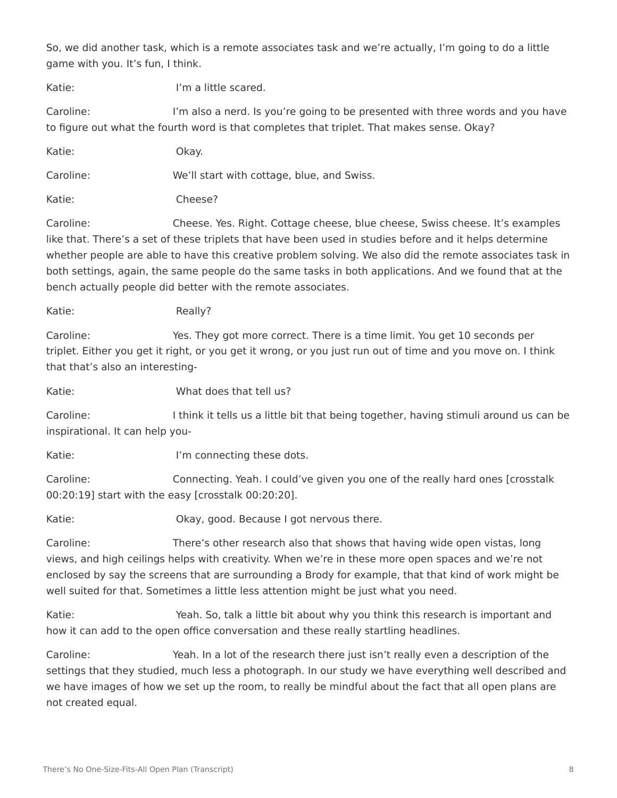So, we did another task, which is a remote associates task and we're actually, I'm going to do a little game with you. It's fun, I think.

Katie: I'm a little scared.

Caroline: I'm also a nerd. Is you're going to be presented with three words and you have to figure out what the fourth word is that completes that triplet. That makes sense. Okay?

| Katie:    | Okay.                                      |
|-----------|--------------------------------------------|
| Caroline: | We'll start with cottage, blue, and Swiss. |
| Katie:    | Cheese?                                    |

Caroline: Cheese. Yes. Right. Cottage cheese, blue cheese, Swiss cheese. It's examples like that. There's a set of these triplets that have been used in studies before and it helps determine whether people are able to have this creative problem solving. We also did the remote associates task in both settings, again, the same people do the same tasks in both applications. And we found that at the bench actually people did better with the remote associates.

Katie: Really?

Caroline: Yes. They got more correct. There is a time limit. You get 10 seconds per triplet. Either you get it right, or you get it wrong, or you just run out of time and you move on. I think that that's also an interesting-

Katie: What does that tell us?

Caroline: I think it tells us a little bit that being together, having stimuli around us can be inspirational. It can help you-

Katie: I'm connecting these dots.

Caroline: Connecting. Yeah. I could've given you one of the really hard ones [crosstalk 00:20:19] start with the easy [crosstalk 00:20:20].

Katie: Charles Moraldon, good. Because I got nervous there.

Caroline: There's other research also that shows that having wide open vistas, long views, and high ceilings helps with creativity. When we're in these more open spaces and we're not enclosed by say the screens that are surrounding a Brody for example, that that kind of work might be well suited for that. Sometimes a little less attention might be just what you need.

Katie: Yeah. So, talk a little bit about why you think this research is important and how it can add to the open office conversation and these really startling headlines.

Caroline: Yeah. In a lot of the research there just isn't really even a description of the settings that they studied, much less a photograph. In our study we have everything well described and we have images of how we set up the room, to really be mindful about the fact that all open plans are not created equal.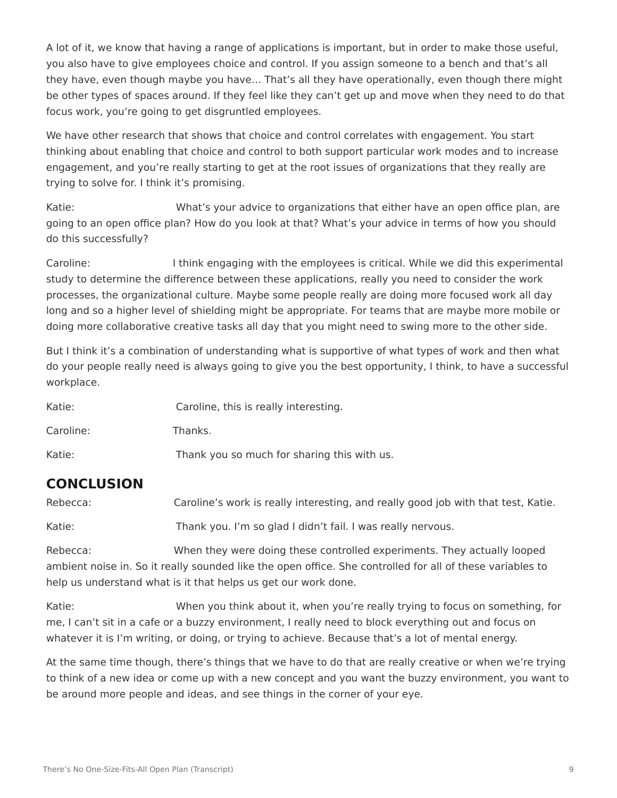A lot of it, we know that having a range of applications is important, but in order to make those useful, you also have to give employees choice and control. If you assign someone to a bench and that's all they have, even though maybe you have… That's all they have operationally, even though there might be other types of spaces around. If they feel like they can't get up and move when they need to do that focus work, you're going to get disgruntled employees.

We have other research that shows that choice and control correlates with engagement. You start thinking about enabling that choice and control to both support particular work modes and to increase engagement, and you're really starting to get at the root issues of organizations that they really are trying to solve for. I think it's promising.

Katie: What's your advice to organizations that either have an open office plan, are going to an open office plan? How do you look at that? What's your advice in terms of how you should do this successfully?

Caroline: I think engaging with the employees is critical. While we did this experimental study to determine the difference between these applications, really you need to consider the work processes, the organizational culture. Maybe some people really are doing more focused work all day long and so a higher level of shielding might be appropriate. For teams that are maybe more mobile or doing more collaborative creative tasks all day that you might need to swing more to the other side.

But I think it's a combination of understanding what is supportive of what types of work and then what do your people really need is always going to give you the best opportunity, I think, to have a successful workplace.

| Katie:    | Caroline, this is really interesting.       |
|-----------|---------------------------------------------|
| Caroline: | Thanks.                                     |
| Katie:    | Thank you so much for sharing this with us. |

#### **CONCLUSION**

Rebecca: Caroline's work is really interesting, and really good job with that test, Katie.

Katie: Thank you. I'm so glad I didn't fail. I was really nervous.

Rebecca: When they were doing these controlled experiments. They actually looped ambient noise in. So it really sounded like the open office. She controlled for all of these variables to help us understand what is it that helps us get our work done.

Katie: When you think about it, when you're really trying to focus on something, for me, I can't sit in a cafe or a buzzy environment, I really need to block everything out and focus on whatever it is I'm writing, or doing, or trying to achieve. Because that's a lot of mental energy.

At the same time though, there's things that we have to do that are really creative or when we're trying to think of a new idea or come up with a new concept and you want the buzzy environment, you want to be around more people and ideas, and see things in the corner of your eye.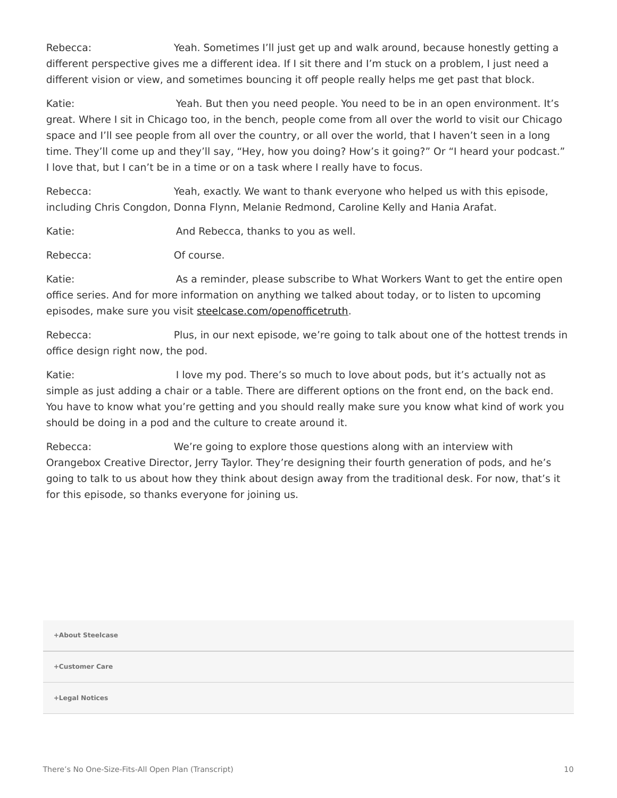Rebecca: Yeah. Sometimes I'll just get up and walk around, because honestly getting a different perspective gives me a different idea. If I sit there and I'm stuck on a problem, I just need a different vision or view, and sometimes bouncing it off people really helps me get past that block.

Katie: The Meah. But then you need people. You need to be in an open environment. It's great. Where I sit in Chicago too, in the bench, people come from all over the world to visit our Chicago space and I'll see people from all over the country, or all over the world, that I haven't seen in a long time. They'll come up and they'll say, "Hey, how you doing? How's it going?" Or "I heard your podcast." I love that, but I can't be in a time or on a task where I really have to focus.

Rebecca: Yeah, exactly. We want to thank everyone who helped us with this episode, including Chris Congdon, Donna Flynn, Melanie Redmond, Caroline Kelly and Hania Arafat.

Katie: Katie: And Rebecca, thanks to you as well.

Rebecca: Of course.

Katie: As a reminder, please subscribe to What Workers Want to get the entire open office series. And for more information on anything we talked about today, or to listen to upcoming episodes, make sure you visit [steelcase.com/openofficetruth.](http://www.steelcase.com/openofficetruth)

Rebecca: Plus, in our next episode, we're going to talk about one of the hottest trends in office design right now, the pod.

Katie: I love my pod. There's so much to love about pods, but it's actually not as simple as just adding a chair or a table. There are different options on the front end, on the back end. You have to know what you're getting and you should really make sure you know what kind of work you should be doing in a pod and the culture to create around it.

Rebecca: We're going to explore those questions along with an interview with Orangebox Creative Director, Jerry Taylor. They're designing their fourth generation of pods, and he's going to talk to us about how they think about design away from the traditional desk. For now, that's it for this episode, so thanks everyone for joining us.

**[+About Steelcase](https://www.steelcase.com/discover/steelcase/our-company/)**

**[+Customer Care](#page-0-0)**

**[+Legal Notices](#page-0-0)**